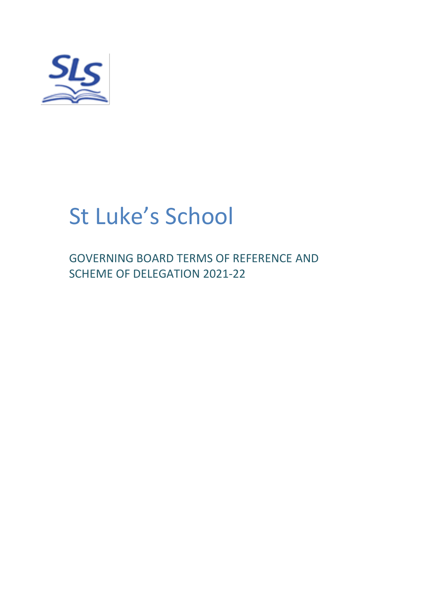

# St Luke's School

GOVERNING BOARD TERMS OF REFERENCE AND SCHEME OF DELEGATION 2021-22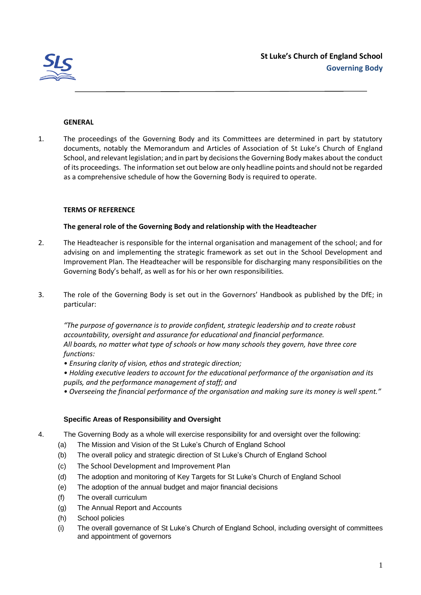

# **GENERAL**

1. The proceedings of the Governing Body and its Committees are determined in part by statutory documents, notably the Memorandum and Articles of Association of St Luke's Church of England School, and relevant legislation; and in part by decisions the Governing Body makes about the conduct of its proceedings. The information set out below are only headline points and should not be regarded as a comprehensive schedule of how the Governing Body is required to operate.

# **TERMS OF REFERENCE**

# **The general role of the Governing Body and relationship with the Headteacher**

- 2. The Headteacher is responsible for the internal organisation and management of the school; and for advising on and implementing the strategic framework as set out in the School Development and Improvement Plan. The Headteacher will be responsible for discharging many responsibilities on the Governing Body's behalf, as well as for his or her own responsibilities.
- 3. The role of the Governing Body is set out in the Governors' Handbook as published by the DfE; in particular:

*"The purpose of governance is to provide confident, strategic leadership and to create robust accountability, oversight and assurance for educational and financial performance. All boards, no matter what type of schools or how many schools they govern, have three core functions:*

- *Ensuring clarity of vision, ethos and strategic direction;*
- *Holding executive leaders to account for the educational performance of the organisation and its pupils, and the performance management of staff; and*
- *Overseeing the financial performance of the organisation and making sure its money is well spent."*

# **Specific Areas of Responsibility and Oversight**

- 
- 4. The Governing Body as a whole will exercise responsibility for and oversight over the following:
	- (a) The Mission and Vision of the St Luke's Church of England School
	- (b) The overall policy and strategic direction of St Luke's Church of England School
	- (c) The School Development and Improvement Plan
	- (d) The adoption and monitoring of Key Targets for St Luke's Church of England School
	- (e) The adoption of the annual budget and major financial decisions
	- (f) The overall curriculum
	- (g) The Annual Report and Accounts
	- (h) School policies
	- (i) The overall governance of St Luke's Church of England School, including oversight of committees and appointment of governors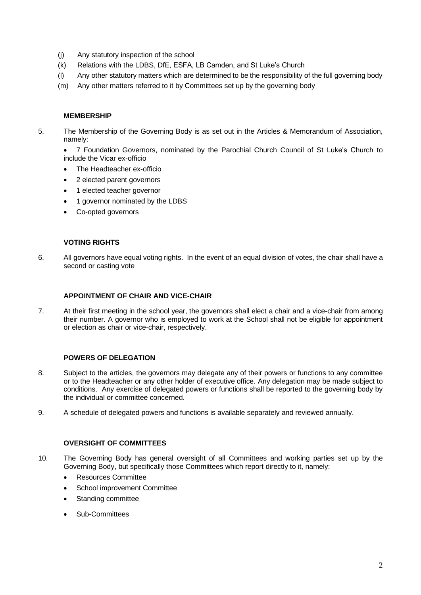- (j) Any statutory inspection of the school
- (k) Relations with the LDBS, DfE, ESFA, LB Camden, and St Luke's Church
- (l) Any other statutory matters which are determined to be the responsibility of the full governing body
- (m) Any other matters referred to it by Committees set up by the governing body

# **MEMBERSHIP**

- 5. The Membership of the Governing Body is as set out in the Articles & Memorandum of Association, namely:
	- 7 Foundation Governors, nominated by the Parochial Church Council of St Luke's Church to include the Vicar ex-officio
	- The Headteacher ex-officio
	- 2 elected parent governors
	- 1 elected teacher governor
	- 1 governor nominated by the LDBS
	- Co-opted governors

# **VOTING RIGHTS**

6. All governors have equal voting rights. In the event of an equal division of votes, the chair shall have a second or casting vote

# **APPOINTMENT OF CHAIR AND VICE-CHAIR**

7. At their first meeting in the school year, the governors shall elect a chair and a vice-chair from among their number. A governor who is employed to work at the School shall not be eligible for appointment or election as chair or vice-chair, respectively.

# **POWERS OF DELEGATION**

- 8. Subject to the articles, the governors may delegate any of their powers or functions to any committee or to the Headteacher or any other holder of executive office. Any delegation may be made subject to conditions. Any exercise of delegated powers or functions shall be reported to the governing body by the individual or committee concerned.
- 9. A schedule of delegated powers and functions is available separately and reviewed annually.

# **OVERSIGHT OF COMMITTEES**

- 10. The Governing Body has general oversight of all Committees and working parties set up by the Governing Body, but specifically those Committees which report directly to it, namely:
	- Resources Committee
	- School improvement Committee
	- Standing committee
	- Sub-Committees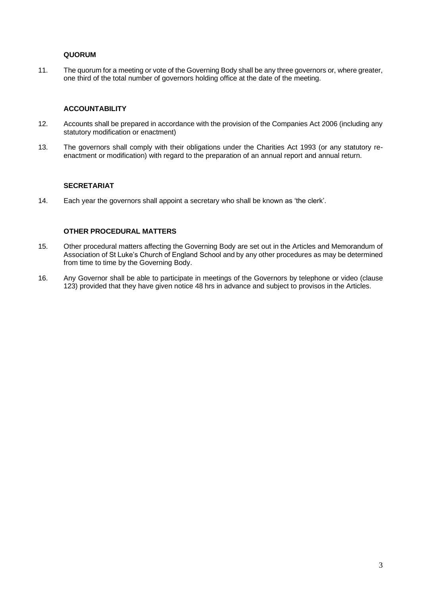#### **QUORUM**

11. The quorum for a meeting or vote of the Governing Body shall be any three governors or, where greater, one third of the total number of governors holding office at the date of the meeting.

#### **ACCOUNTABILITY**

- 12. Accounts shall be prepared in accordance with the provision of the Companies Act 2006 (including any statutory modification or enactment)
- 13. The governors shall comply with their obligations under the Charities Act 1993 (or any statutory reenactment or modification) with regard to the preparation of an annual report and annual return.

#### **SECRETARIAT**

14. Each year the governors shall appoint a secretary who shall be known as 'the clerk'.

# **OTHER PROCEDURAL MATTERS**

- 15. Other procedural matters affecting the Governing Body are set out in the Articles and Memorandum of Association of St Luke's Church of England School and by any other procedures as may be determined from time to time by the Governing Body.
- 16. Any Governor shall be able to participate in meetings of the Governors by telephone or video (clause 123) provided that they have given notice 48 hrs in advance and subject to provisos in the Articles.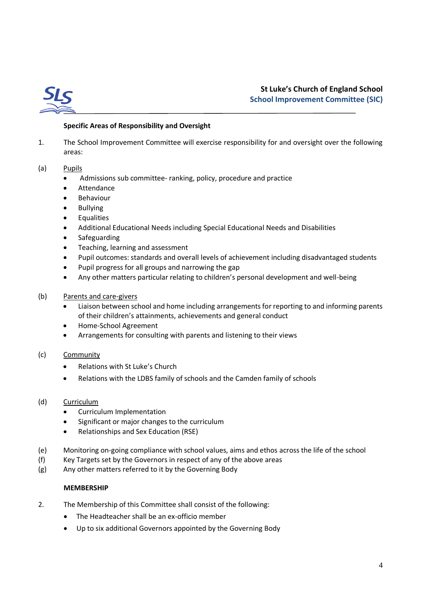

# **St Luke's Church of England School School Improvement Committee (SIC)**

# **Specific Areas of Responsibility and Oversight**

- 1. The School Improvement Committee will exercise responsibility for and oversight over the following areas:
- (a) Pupils
	- Admissions sub committee- ranking, policy, procedure and practice
	- Attendance
	- **Behaviour**
	- Bullying
	- **Equalities**
	- Additional Educational Needs including Special Educational Needs and Disabilities
	- **Safeguarding**
	- Teaching, learning and assessment
	- Pupil outcomes: standards and overall levels of achievement including disadvantaged students
	- Pupil progress for all groups and narrowing the gap
	- Any other matters particular relating to children's personal development and well-being
- (b) Parents and care-givers
	- Liaison between school and home including arrangements for reporting to and informing parents of their children's attainments, achievements and general conduct
	- Home-School Agreement
	- Arrangements for consulting with parents and listening to their views
- (c) Community
	- Relations with St Luke's Church
	- Relations with the LDBS family of schools and the Camden family of schools
- (d) Curriculum
	- Curriculum Implementation
	- Significant or major changes to the curriculum
	- Relationships and Sex Education (RSE)
- (e) Monitoring on-going compliance with school values, aims and ethos across the life of the school
- (f) Key Targets set by the Governors in respect of any of the above areas
- (g) Any other matters referred to it by the Governing Body

#### **MEMBERSHIP**

- 2. The Membership of this Committee shall consist of the following:
	- The Headteacher shall be an ex-officio member
	- Up to six additional Governors appointed by the Governing Body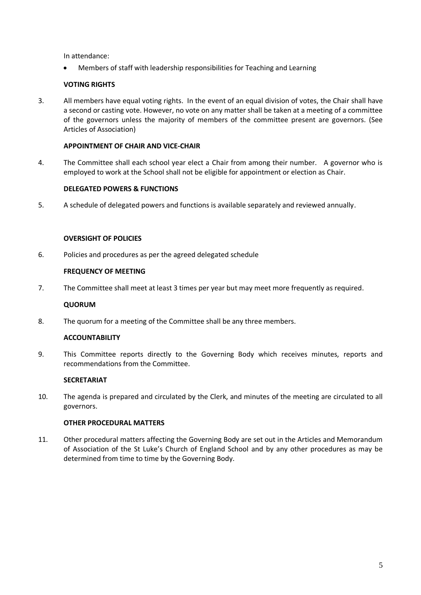In attendance:

• Members of staff with leadership responsibilities for Teaching and Learning

# **VOTING RIGHTS**

3. All members have equal voting rights. In the event of an equal division of votes, the Chair shall have a second or casting vote. However, no vote on any matter shall be taken at a meeting of a committee of the governors unless the majority of members of the committee present are governors. (See Articles of Association)

# **APPOINTMENT OF CHAIR AND VICE-CHAIR**

4. The Committee shall each school year elect a Chair from among their number. A governor who is employed to work at the School shall not be eligible for appointment or election as Chair.

# **DELEGATED POWERS & FUNCTIONS**

5. A schedule of delegated powers and functions is available separately and reviewed annually.

#### **OVERSIGHT OF POLICIES**

6. Policies and procedures as per the agreed delegated schedule

#### **FREQUENCY OF MEETING**

7. The Committee shall meet at least 3 times per year but may meet more frequently as required.

#### **QUORUM**

8. The quorum for a meeting of the Committee shall be any three members.

#### **ACCOUNTABILITY**

9. This Committee reports directly to the Governing Body which receives minutes, reports and recommendations from the Committee.

# **SECRETARIAT**

10. The agenda is prepared and circulated by the Clerk, and minutes of the meeting are circulated to all governors.

#### **OTHER PROCEDURAL MATTERS**

11. Other procedural matters affecting the Governing Body are set out in the Articles and Memorandum of Association of the St Luke's Church of England School and by any other procedures as may be determined from time to time by the Governing Body.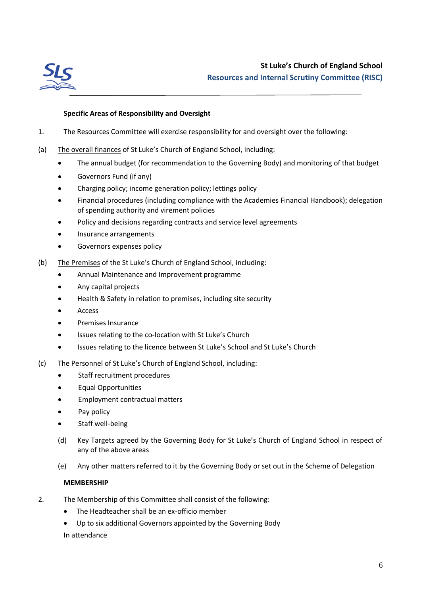

# **Specific Areas of Responsibility and Oversight**

- 1. The Resources Committee will exercise responsibility for and oversight over the following:
- (a) The overall finances of St Luke's Church of England School, including:
	- The annual budget (for recommendation to the Governing Body) and monitoring of that budget
	- Governors Fund (if any)
	- Charging policy; income generation policy; lettings policy
	- Financial procedures (including compliance with the Academies Financial Handbook); delegation of spending authority and virement policies
	- Policy and decisions regarding contracts and service level agreements
	- Insurance arrangements
	- Governors expenses policy
- (b) The Premises of the St Luke's Church of England School, including:
	- Annual Maintenance and Improvement programme
	- Any capital projects
	- Health & Safety in relation to premises, including site security
	- Access
	- Premises Insurance
	- Issues relating to the co-location with St Luke's Church
	- Issues relating to the licence between St Luke's School and St Luke's Church
- (c) The Personnel of St Luke's Church of England School, including:
	- Staff recruitment procedures
	- Equal Opportunities
	- Employment contractual matters
	- Pay policy
	- Staff well-being
	- (d) Key Targets agreed by the Governing Body for St Luke's Church of England School in respect of any of the above areas
	- (e) Any other matters referred to it by the Governing Body or set out in the Scheme of Delegation

# **MEMBERSHIP**

- 2. The Membership of this Committee shall consist of the following:
	- The Headteacher shall be an ex-officio member
	- Up to six additional Governors appointed by the Governing Body In attendance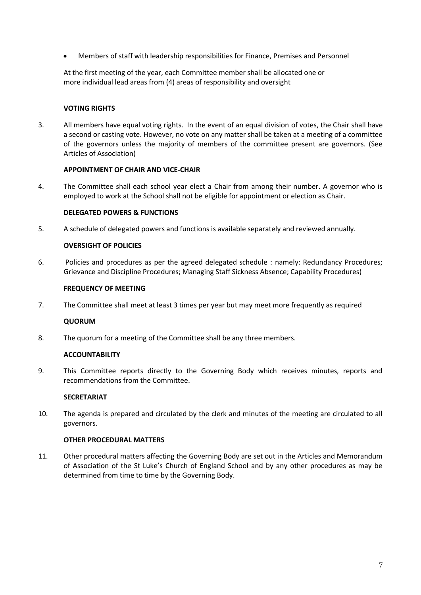• Members of staff with leadership responsibilities for Finance, Premises and Personnel

At the first meeting of the year, each Committee member shall be allocated one or more individual lead areas from (4) areas of responsibility and oversight

# **VOTING RIGHTS**

3. All members have equal voting rights. In the event of an equal division of votes, the Chair shall have a second or casting vote. However, no vote on any matter shall be taken at a meeting of a committee of the governors unless the majority of members of the committee present are governors. (See Articles of Association)

# **APPOINTMENT OF CHAIR AND VICE-CHAIR**

4. The Committee shall each school year elect a Chair from among their number. A governor who is employed to work at the School shall not be eligible for appointment or election as Chair.

#### **DELEGATED POWERS & FUNCTIONS**

5. A schedule of delegated powers and functions is available separately and reviewed annually.

#### **OVERSIGHT OF POLICIES**

6. Policies and procedures as per the agreed delegated schedule : namely: Redundancy Procedures; Grievance and Discipline Procedures; Managing Staff Sickness Absence; Capability Procedures)

#### **FREQUENCY OF MEETING**

7. The Committee shall meet at least 3 times per year but may meet more frequently as required

# **QUORUM**

8. The quorum for a meeting of the Committee shall be any three members.

# **ACCOUNTABILITY**

9. This Committee reports directly to the Governing Body which receives minutes, reports and recommendations from the Committee.

# **SECRETARIAT**

10. The agenda is prepared and circulated by the clerk and minutes of the meeting are circulated to all governors.

#### **OTHER PROCEDURAL MATTERS**

11. Other procedural matters affecting the Governing Body are set out in the Articles and Memorandum of Association of the St Luke's Church of England School and by any other procedures as may be determined from time to time by the Governing Body.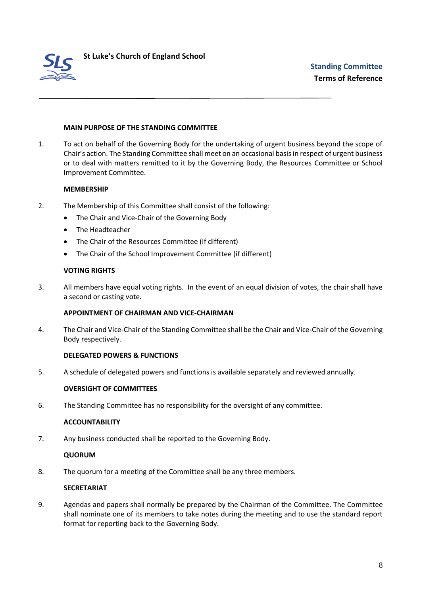

#### **MAIN PURPOSE OF THE STANDING COMMITTEE**

1. To act on behalf of the Governing Body for the undertaking of urgent business beyond the scope of Chair's action. The Standing Committee shall meet on an occasional basis in respect of urgent business or to deal with matters remitted to it by the Governing Body, the Resources Committee or School Improvement Committee.

#### **MEMBERSHIP**

- 2. The Membership of this Committee shall consist of the following:
	- The Chair and Vice-Chair of the Governing Body
	- The Headteacher
	- The Chair of the Resources Committee (if different)
	- The Chair of the School Improvement Committee (if different)

# **VOTING RIGHTS**

3. All members have equal voting rights. In the event of an equal division of votes, the chair shall have a second or casting vote.

# **APPOINTMENT OF CHAIRMAN AND VICE-CHAIRMAN**

4. The Chair and Vice-Chair of the Standing Committee shall be the Chair and Vice-Chair of the Governing Body respectively.

# **DELEGATED POWERS & FUNCTIONS**

5. A schedule of delegated powers and functions is available separately and reviewed annually.

# **OVERSIGHT OF COMMITTEES**

6. The Standing Committee has no responsibility for the oversight of any committee.

#### **ACCOUNTABILITY**

7. Any business conducted shall be reported to the Governing Body.

#### **QUORUM**

8. The quorum for a meeting of the Committee shall be any three members.

#### **SECRETARIAT**

9. Agendas and papers shall normally be prepared by the Chairman of the Committee. The Committee shall nominate one of its members to take notes during the meeting and to use the standard report format for reporting back to the Governing Body.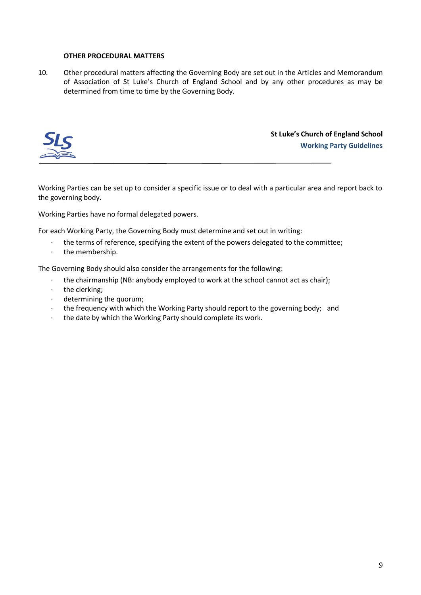# **OTHER PROCEDURAL MATTERS**

10. Other procedural matters affecting the Governing Body are set out in the Articles and Memorandum of Association of St Luke's Church of England School and by any other procedures as may be determined from time to time by the Governing Body.



**St Luke's Church of England School Working Party Guidelines** 

Working Parties can be set up to consider a specific issue or to deal with a particular area and report back to the governing body.

Working Parties have no formal delegated powers.

For each Working Party, the Governing Body must determine and set out in writing:

- · the terms of reference, specifying the extent of the powers delegated to the committee;
- · the membership.

The Governing Body should also consider the arrangements for the following:

- · the chairmanship (NB: anybody employed to work at the school cannot act as chair);
- · the clerking;
- · determining the quorum;
- · the frequency with which the Working Party should report to the governing body; and
- · the date by which the Working Party should complete its work.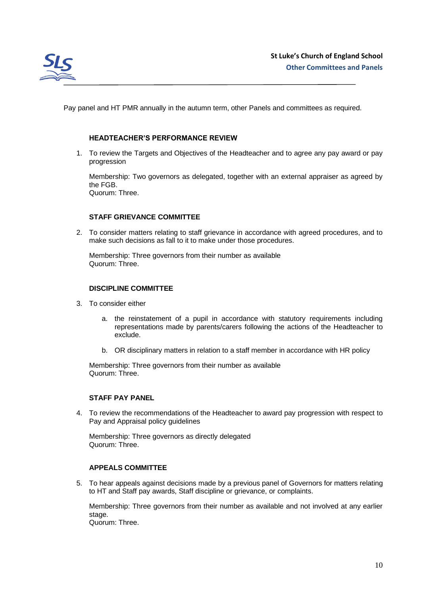

Pay panel and HT PMR annually in the autumn term, other Panels and committees as required.

#### **HEADTEACHER'S PERFORMANCE REVIEW**

1. To review the Targets and Objectives of the Headteacher and to agree any pay award or pay progression

Membership: Two governors as delegated, together with an external appraiser as agreed by the FGB. Quorum: Three.

#### **STAFF GRIEVANCE COMMITTEE**

2. To consider matters relating to staff grievance in accordance with agreed procedures, and to make such decisions as fall to it to make under those procedures.

Membership: Three governors from their number as available Quorum: Three.

#### **DISCIPLINE COMMITTEE**

- 3. To consider either
	- a. the reinstatement of a pupil in accordance with statutory requirements including representations made by parents/carers following the actions of the Headteacher to exclude.
	- b. OR disciplinary matters in relation to a staff member in accordance with HR policy

Membership: Three governors from their number as available Quorum: Three.

#### **STAFF PAY PANEL**

4. To review the recommendations of the Headteacher to award pay progression with respect to Pay and Appraisal policy guidelines

Membership: Three governors as directly delegated Quorum: Three.

#### **APPEALS COMMITTEE**

5. To hear appeals against decisions made by a previous panel of Governors for matters relating to HT and Staff pay awards, Staff discipline or grievance, or complaints.

Membership: Three governors from their number as available and not involved at any earlier stage.

Quorum: Three.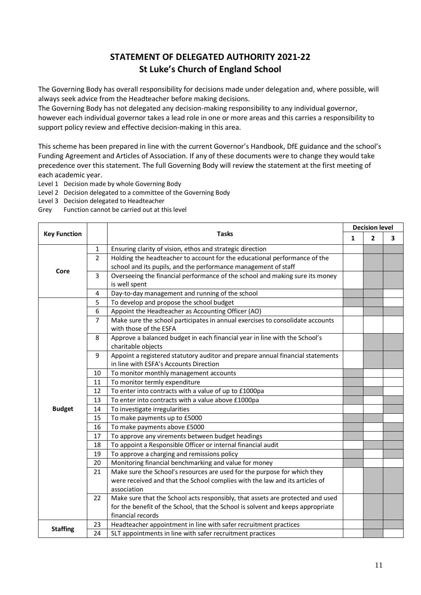# **STATEMENT OF DELEGATED AUTHORITY 2021-22 St Luke's Church of England School**

The Governing Body has overall responsibility for decisions made under delegation and, where possible, will always seek advice from the Headteacher before making decisions.

The Governing Body has not delegated any decision-making responsibility to any individual governor, however each individual governor takes a lead role in one or more areas and this carries a responsibility to support policy review and effective decision-making in this area.

This scheme has been prepared in line with the current Governor's Handbook, DfE guidance and the school's Funding Agreement and Articles of Association. If any of these documents were to change they would take precedence over this statement. The full Governing Body will review the statement at the first meeting of each academic year.

Level 1 Decision made by whole Governing Body

Level 2 Decision delegated to a committee of the Governing Body

Level 3 Decision delegated to Headteacher

Grey Function cannot be carried out at this level

| <b>Key Function</b> |                | <b>Tasks</b>                                                                    | <b>Decision level</b> |   |    |  |
|---------------------|----------------|---------------------------------------------------------------------------------|-----------------------|---|----|--|
|                     |                |                                                                                 | 1                     | 2 | З. |  |
| Core                | $\mathbf{1}$   | Ensuring clarity of vision, ethos and strategic direction                       |                       |   |    |  |
|                     | 2              | Holding the headteacher to account for the educational performance of the       |                       |   |    |  |
|                     |                | school and its pupils, and the performance management of staff                  |                       |   |    |  |
|                     | 3              | Overseeing the financial performance of the school and making sure its money    |                       |   |    |  |
|                     |                | is well spent                                                                   |                       |   |    |  |
|                     | 4              | Day-to-day management and running of the school                                 |                       |   |    |  |
|                     | 5              | To develop and propose the school budget                                        |                       |   |    |  |
|                     | 6              | Appoint the Headteacher as Accounting Officer (AO)                              |                       |   |    |  |
|                     | $\overline{7}$ | Make sure the school participates in annual exercises to consolidate accounts   |                       |   |    |  |
|                     |                | with those of the ESFA                                                          |                       |   |    |  |
|                     | 8              | Approve a balanced budget in each financial year in line with the School's      |                       |   |    |  |
|                     |                | charitable objects                                                              |                       |   |    |  |
|                     | 9              | Appoint a registered statutory auditor and prepare annual financial statements  |                       |   |    |  |
|                     |                | in line with ESFA's Accounts Direction                                          |                       |   |    |  |
|                     | 10             | To monitor monthly management accounts                                          |                       |   |    |  |
|                     | 11             | To monitor termly expenditure                                                   |                       |   |    |  |
|                     | 12             | To enter into contracts with a value of up to £1000pa                           |                       |   |    |  |
|                     | 13             | To enter into contracts with a value above £1000pa                              |                       |   |    |  |
| <b>Budget</b>       | 14             | To investigate irregularities                                                   |                       |   |    |  |
|                     | 15             | To make payments up to £5000                                                    |                       |   |    |  |
|                     | 16             | To make payments above £5000                                                    |                       |   |    |  |
|                     | 17             | To approve any virements between budget headings                                |                       |   |    |  |
|                     | 18             | To appoint a Responsible Officer or internal financial audit                    |                       |   |    |  |
|                     | 19             | To approve a charging and remissions policy                                     |                       |   |    |  |
|                     | 20             | Monitoring financial benchmarking and value for money                           |                       |   |    |  |
|                     | 21             | Make sure the School's resources are used for the purpose for which they        |                       |   |    |  |
|                     |                | were received and that the School complies with the law and its articles of     |                       |   |    |  |
|                     |                | association                                                                     |                       |   |    |  |
|                     | 22             | Make sure that the School acts responsibly, that assets are protected and used  |                       |   |    |  |
|                     |                | for the benefit of the School, that the School is solvent and keeps appropriate |                       |   |    |  |
|                     |                | financial records                                                               |                       |   |    |  |
| <b>Staffing</b>     | 23             | Headteacher appointment in line with safer recruitment practices                |                       |   |    |  |
|                     | 24             | SLT appointments in line with safer recruitment practices                       |                       |   |    |  |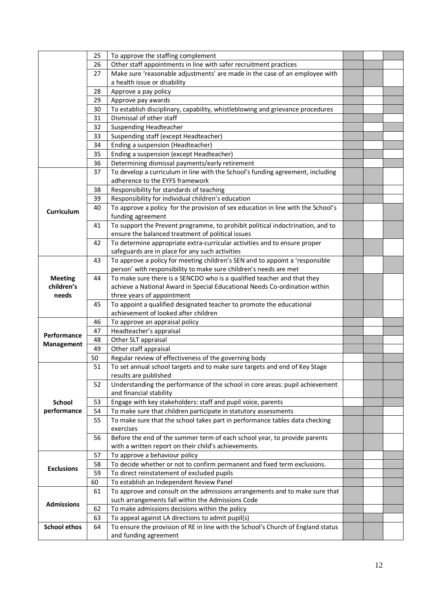|                     | 25       | To approve the staffing complement                                                                                                    |  |  |
|---------------------|----------|---------------------------------------------------------------------------------------------------------------------------------------|--|--|
|                     | 26       | Other staff appointments in line with safer recruitment practices                                                                     |  |  |
|                     | 27       | Make sure 'reasonable adjustments' are made in the case of an employee with                                                           |  |  |
|                     |          | a health issue or disability                                                                                                          |  |  |
|                     | 28       | Approve a pay policy                                                                                                                  |  |  |
|                     | 29       | Approve pay awards                                                                                                                    |  |  |
|                     | 30       | To establish disciplinary, capability, whistleblowing and grievance procedures                                                        |  |  |
|                     | 31       | Dismissal of other staff                                                                                                              |  |  |
|                     | 32       | <b>Suspending Headteacher</b>                                                                                                         |  |  |
|                     | 33       | Suspending staff (except Headteacher)                                                                                                 |  |  |
|                     | 34       | Ending a suspension (Headteacher)                                                                                                     |  |  |
|                     | 35       | Ending a suspension (except Headteacher)                                                                                              |  |  |
|                     | 36       | Determining dismissal payments/early retirement                                                                                       |  |  |
|                     | 37       | To develop a curriculum in line with the School's funding agreement, including                                                        |  |  |
|                     |          | adherence to the EYFS framework                                                                                                       |  |  |
|                     | 38       | Responsibility for standards of teaching                                                                                              |  |  |
|                     | 39       | Responsibility for individual children's education                                                                                    |  |  |
|                     | 40       | To approve a policy for the provision of sex education in line with the School's                                                      |  |  |
| <b>Curriculum</b>   |          | funding agreement                                                                                                                     |  |  |
|                     | 41       | To support the Prevent programme, to prohibit political indoctrination, and to                                                        |  |  |
|                     |          | ensure the balanced treatment of political issues                                                                                     |  |  |
|                     | 42       | To determine appropriate extra-curricular activities and to ensure proper                                                             |  |  |
|                     |          | safeguards are in place for any such activities                                                                                       |  |  |
|                     | 43       | To approve a policy for meeting children's SEN and to appoint a 'responsible                                                          |  |  |
|                     |          | person' with responsibility to make sure children's needs are met                                                                     |  |  |
| <b>Meeting</b>      | 44       | To make sure there is a SENCDO who is a qualified teacher and that they                                                               |  |  |
| children's          |          | achieve a National Award in Special Educational Needs Co-ordination within                                                            |  |  |
| needs               |          | three years of appointment                                                                                                            |  |  |
|                     | 45       | To appoint a qualified designated teacher to promote the educational                                                                  |  |  |
|                     |          | achievement of looked after children                                                                                                  |  |  |
|                     | 46       | To approve an appraisal policy                                                                                                        |  |  |
|                     | 47       | Headteacher's appraisal                                                                                                               |  |  |
| Performance         | 48       | Other SLT appraisal                                                                                                                   |  |  |
| Management          | 49       | Other staff appraisal                                                                                                                 |  |  |
|                     | 50       | Regular review of effectiveness of the governing body                                                                                 |  |  |
|                     | 51       | To set annual school targets and to make sure targets and end of Key Stage                                                            |  |  |
|                     |          | results are published                                                                                                                 |  |  |
|                     | 52       | Understanding the performance of the school in core areas: pupil achievement                                                          |  |  |
|                     |          | and financial stability                                                                                                               |  |  |
| <b>School</b>       | 53       | Engage with key stakeholders: staff and pupil voice, parents                                                                          |  |  |
| performance         | 54       | To make sure that children participate in statutory assessments                                                                       |  |  |
|                     | 55       | To make sure that the school takes part in performance tables data checking                                                           |  |  |
|                     |          | exercises                                                                                                                             |  |  |
|                     | 56       | Before the end of the summer term of each school year, to provide parents                                                             |  |  |
|                     |          | with a written report on their child's achievements.                                                                                  |  |  |
|                     | 57       | To approve a behaviour policy                                                                                                         |  |  |
|                     | 58       | To decide whether or not to confirm permanent and fixed term exclusions.                                                              |  |  |
| <b>Exclusions</b>   | 59       | To direct reinstatement of excluded pupils                                                                                            |  |  |
|                     | 60       | To establish an Independent Review Panel                                                                                              |  |  |
|                     | 61       | To approve and consult on the admissions arrangements and to make sure that                                                           |  |  |
| <b>Admissions</b>   |          | such arrangements fall within the Admissions Code                                                                                     |  |  |
|                     | 62       | To make admissions decisions within the policy                                                                                        |  |  |
|                     |          |                                                                                                                                       |  |  |
|                     |          |                                                                                                                                       |  |  |
| <b>School ethos</b> | 63<br>64 | To appeal against LA directions to admit pupil(s)<br>To ensure the provision of RE in line with the School's Church of England status |  |  |